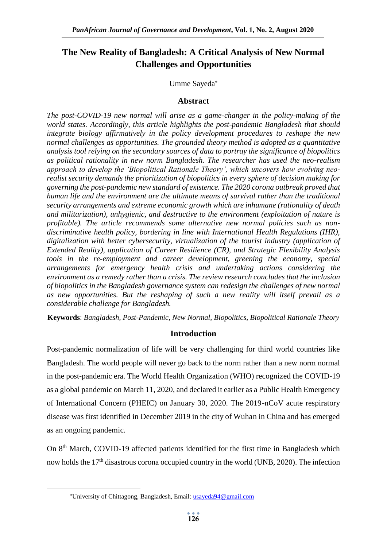# **The New Reality of Bangladesh: A Critical Analysis of New Normal Challenges and Opportunities**

# Umme Sayeda

# **Abstract**

*The post-COVID-19 new normal will arise as a game-changer in the policy-making of the world states. Accordingly, this article highlights the post-pandemic Bangladesh that should integrate biology affirmatively in the policy development procedures to reshape the new normal challenges as opportunities. The grounded theory method is adopted as a quantitative analysis tool relying on the secondary sources of data to portray the significance of biopolitics as political rationality in new norm Bangladesh. The researcher has used the neo-realism approach to develop the 'Biopolitical Rationale Theory', which uncovers how evolving neorealist security demands the prioritization of biopolitics in every sphere of decision making for governing the post-pandemic new standard of existence. The 2020 corona outbreak proved that human life and the environment are the ultimate means of survival rather than the traditional security arrangements and extreme economic growth which are inhumane (rationality of death and militarization), unhygienic, and destructive to the environment (exploitation of nature is profitable). The article recommends some alternative new normal policies such as nondiscriminative health policy, bordering in line with International Health Regulations (IHR), digitalization with better cybersecurity, virtualization of the tourist industry (application of Extended Reality), application of Career Resilience (CR), and Strategic Flexibility Analysis tools in the re-employment and career development, greening the economy, special arrangements for emergency health crisis and undertaking actions considering the environment as a remedy rather than a crisis. The review research concludes that the inclusion of biopolitics in the Bangladesh governance system can redesign the challenges of new normal as new opportunities. But the reshaping of such a new reality will itself prevail as a considerable challenge for Bangladesh.*

**Keywords**: *Bangladesh, Post-Pandemic, New Normal, Biopolitics, Biopolitical Rationale Theory*

# **Introduction**

Post-pandemic normalization of life will be very challenging for third world countries like Bangladesh. The world people will never go back to the norm rather than a new norm normal in the post-pandemic era. The World Health Organization (WHO) recognized the COVID-19 as a global pandemic on March 11, 2020, and declared it earlier as a Public Health Emergency of International Concern (PHEIC) on January 30, 2020. The 2019-nCoV acute respiratory disease was first identified in December 2019 in the city of Wuhan in China and has emerged as an ongoing pandemic.

On 8th March, COVID-19 affected patients identified for the first time in Bangladesh which now holds the 17<sup>th</sup> disastrous corona occupied country in the world (UNB, 2020). The infection

**.** 

<sup>\*</sup>University of Chittagong, Bangladesh, Email: [usayeda94@gmail.com](mailto:usayeda94@gmail.com)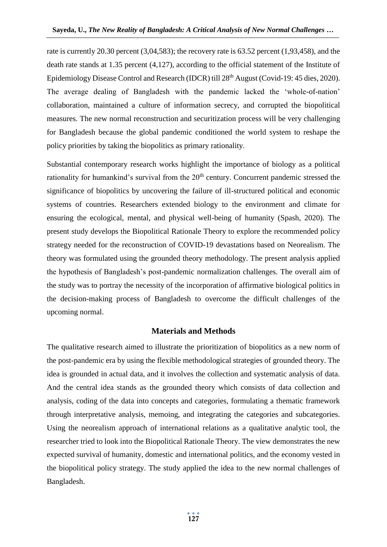rate is currently 20.30 percent (3,04,583); the recovery rate is 63.52 percent (1,93,458), and the death rate stands at 1.35 percent (4,127), according to the official statement of the Institute of Epidemiology Disease Control and Research (IDCR) till 28<sup>th</sup> August (Covid-19: 45 dies, 2020). The average dealing of Bangladesh with the pandemic lacked the 'whole-of-nation' collaboration, maintained a culture of information secrecy, and corrupted the biopolitical measures. The new normal reconstruction and securitization process will be very challenging for Bangladesh because the global pandemic conditioned the world system to reshape the policy priorities by taking the biopolitics as primary rationality.

Substantial contemporary research works highlight the importance of biology as a political rationality for humankind's survival from the  $20<sup>th</sup>$  century. Concurrent pandemic stressed the significance of biopolitics by uncovering the failure of ill-structured political and economic systems of countries. Researchers extended biology to the environment and climate for ensuring the ecological, mental, and physical well-being of humanity (Spash, 2020). The present study develops the Biopolitical Rationale Theory to explore the recommended policy strategy needed for the reconstruction of COVID-19 devastations based on Neorealism. The theory was formulated using the grounded theory methodology. The present analysis applied the hypothesis of Bangladesh's post-pandemic normalization challenges. The overall aim of the study was to portray the necessity of the incorporation of affirmative biological politics in the decision-making process of Bangladesh to overcome the difficult challenges of the upcoming normal.

## **Materials and Methods**

The qualitative research aimed to illustrate the prioritization of biopolitics as a new norm of the post-pandemic era by using the flexible methodological strategies of grounded theory. The idea is grounded in actual data, and it involves the collection and systematic analysis of data. And the central idea stands as the grounded theory which consists of data collection and analysis, coding of the data into concepts and categories, formulating a thematic framework through interpretative analysis, memoing, and integrating the categories and subcategories. Using the neorealism approach of international relations as a qualitative analytic tool, the researcher tried to look into the Biopolitical Rationale Theory. The view demonstrates the new expected survival of humanity, domestic and international politics, and the economy vested in the biopolitical policy strategy. The study applied the idea to the new normal challenges of Bangladesh.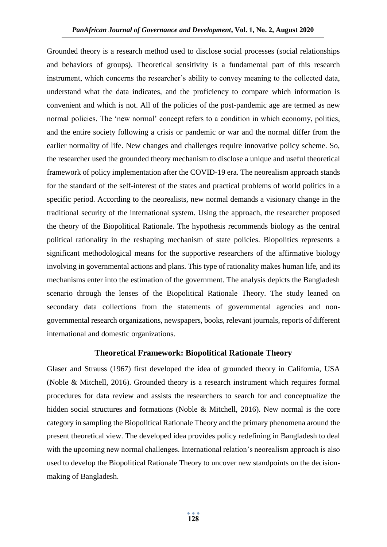Grounded theory is a research method used to disclose social processes (social relationships and behaviors of groups). Theoretical sensitivity is a fundamental part of this research instrument, which concerns the researcher's ability to convey meaning to the collected data, understand what the data indicates, and the proficiency to compare which information is convenient and which is not. All of the policies of the post-pandemic age are termed as new normal policies. The 'new normal' concept refers to a condition in which economy, politics, and the entire society following a crisis or pandemic or war and the normal differ from the earlier normality of life. New changes and challenges require innovative policy scheme. So, the researcher used the grounded theory mechanism to disclose a unique and useful theoretical framework of policy implementation after the COVID-19 era. The neorealism approach stands for the standard of the self-interest of the states and practical problems of world politics in a specific period. According to the neorealists, new normal demands a visionary change in the traditional security of the international system. Using the approach, the researcher proposed the theory of the Biopolitical Rationale. The hypothesis recommends biology as the central political rationality in the reshaping mechanism of state policies. Biopolitics represents a significant methodological means for the supportive researchers of the affirmative biology involving in governmental actions and plans. This type of rationality makes human life, and its mechanisms enter into the estimation of the government. The analysis depicts the Bangladesh scenario through the lenses of the Biopolitical Rationale Theory. The study leaned on secondary data collections from the statements of governmental agencies and nongovernmental research organizations, newspapers, books, relevant journals, reports of different international and domestic organizations.

## **Theoretical Framework: Biopolitical Rationale Theory**

Glaser and Strauss (1967) first developed the idea of grounded theory in California, USA (Noble & Mitchell, 2016). Grounded theory is a research instrument which requires formal procedures for data review and assists the researchers to search for and conceptualize the hidden social structures and formations (Noble & Mitchell, 2016). New normal is the core category in sampling the Biopolitical Rationale Theory and the primary phenomena around the present theoretical view. The developed idea provides policy redefining in Bangladesh to deal with the upcoming new normal challenges. International relation's neorealism approach is also used to develop the Biopolitical Rationale Theory to uncover new standpoints on the decisionmaking of Bangladesh.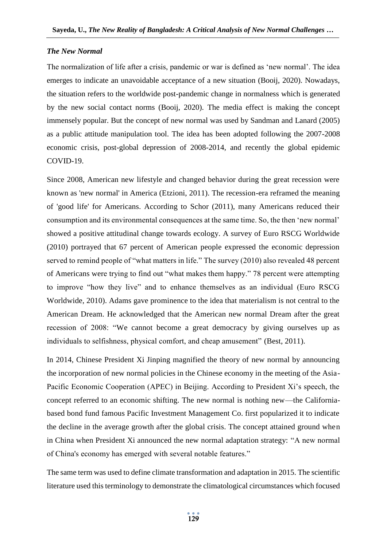## *The New Normal*

The normalization of life after a crisis, pandemic or war is defined as 'new normal'. The idea emerges to indicate an unavoidable acceptance of a new situation (Booij, 2020). Nowadays, the situation refers to the worldwide post-pandemic change in normalness which is generated by the new social contact norms (Booij, 2020). The media effect is making the concept immensely popular. But the concept of new normal was used by Sandman and Lanard (2005) as a public attitude manipulation tool. The idea has been adopted following the 2007-2008 economic crisis, post-global depression of 2008-2014, and recently the global epidemic COVID-19.

Since 2008, American new lifestyle and changed behavior during the great recession were known as 'new normal' in America (Etzioni, 2011). The recession-era reframed the meaning of 'good life' for Americans. According to Schor (2011), many Americans reduced their consumption and its environmental consequences at the same time. So, the then 'new normal' showed a positive attitudinal change towards ecology. A survey of Euro RSCG Worldwide (2010) portrayed that 67 percent of American people expressed the economic depression served to remind people of "what matters in life." The survey (2010) also revealed 48 percent of Americans were trying to find out "what makes them happy." 78 percent were attempting to improve "how they live" and to enhance themselves as an individual (Euro RSCG Worldwide, 2010). Adams gave prominence to the idea that materialism is not central to the American Dream. He acknowledged that the American new normal Dream after the great recession of 2008: "We cannot become a great democracy by giving ourselves up as individuals to selfishness, physical comfort, and cheap amusement" (Best, 2011).

In 2014, Chinese President Xi Jinping magnified the theory of new normal by announcing the incorporation of new normal policies in the Chinese economy in the meeting of the Asia-Pacific Economic Cooperation (APEC) in Beijing. According to President Xi's speech, the concept referred to an economic shifting. The new normal is nothing new—the Californiabased bond fund famous Pacific Investment Management Co. first popularized it to indicate the decline in the average growth after the global crisis. The concept attained ground when in China when President Xi announced the new normal adaptation strategy: "A new normal of China's economy has emerged with several notable features."

The same term was used to define climate transformation and adaptation in 2015. The scientific literature used this terminology to demonstrate the climatological circumstances which focused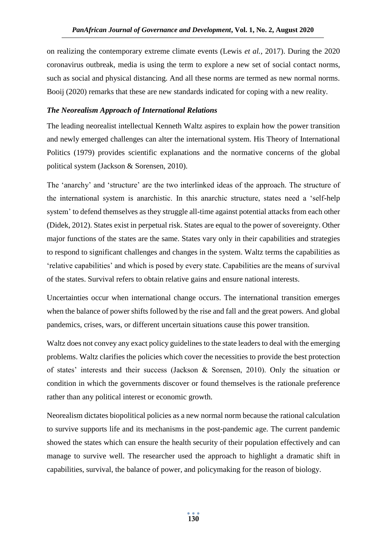on realizing the contemporary extreme climate events (Lewis *et al.*, 2017). During the 2020 coronavirus outbreak, media is using the term to explore a new set of social contact norms, such as social and physical distancing. And all these norms are termed as new normal norms. Booij (2020) remarks that these are new standards indicated for coping with a new reality.

# *The Neorealism Approach of International Relations*

The leading neorealist intellectual Kenneth Waltz aspires to explain how the power transition and newly emerged challenges can alter the international system. His Theory of International Politics (1979) provides scientific explanations and the normative concerns of the global political system (Jackson & Sorensen, 2010).

The 'anarchy' and 'structure' are the two interlinked ideas of the approach. The structure of the international system is anarchistic. In this anarchic structure, states need a 'self-help system' to defend themselves as they struggle all-time against potential attacks from each other (Didek, 2012). States exist in perpetual risk. States are equal to the power of sovereignty. Other major functions of the states are the same. States vary only in their capabilities and strategies to respond to significant challenges and changes in the system. Waltz terms the capabilities as 'relative capabilities' and which is posed by every state. Capabilities are the means of survival of the states. Survival refers to obtain relative gains and ensure national interests.

Uncertainties occur when international change occurs. The international transition emerges when the balance of power shifts followed by the rise and fall and the great powers. And global pandemics, crises, wars, or different uncertain situations cause this power transition.

Waltz does not convey any exact policy guidelines to the state leaders to deal with the emerging problems. Waltz clarifies the policies which cover the necessities to provide the best protection of states' interests and their success (Jackson & Sorensen, 2010). Only the situation or condition in which the governments discover or found themselves is the rationale preference rather than any political interest or economic growth.

Neorealism dictates biopolitical policies as a new normal norm because the rational calculation to survive supports life and its mechanisms in the post-pandemic age. The current pandemic showed the states which can ensure the health security of their population effectively and can manage to survive well. The researcher used the approach to highlight a dramatic shift in capabilities, survival, the balance of power, and policymaking for the reason of biology.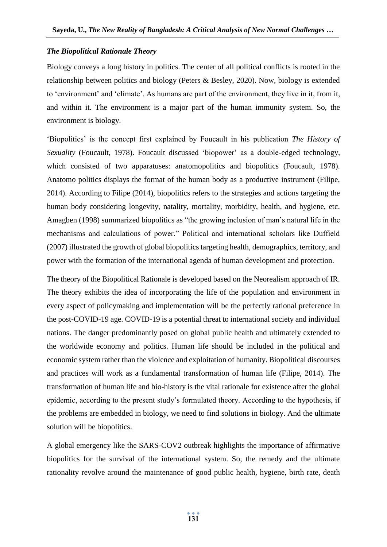## *The Biopolitical Rationale Theory*

Biology conveys a long history in politics. The center of all political conflicts is rooted in the relationship between politics and biology (Peters & Besley, 2020). Now, biology is extended to 'environment' and 'climate'. As humans are part of the environment, they live in it, from it, and within it. The environment is a major part of the human immunity system. So, the environment is biology.

'Biopolitics' is the concept first explained by Foucault in his publication *The History of Sexuality* (Foucault, 1978). Foucault discussed 'biopower' as a double-edged technology, which consisted of two apparatuses: anatomopolitics and biopolitics (Foucault, 1978). Anatomo politics displays the format of the human body as a productive instrument (Filipe, 2014). According to Filipe (2014), biopolitics refers to the strategies and actions targeting the human body considering longevity, natality, mortality, morbidity, health, and hygiene, etc. Amagben (1998) summarized biopolitics as "the growing inclusion of man's natural life in the mechanisms and calculations of power." Political and international scholars like Duffield (2007) illustrated the growth of global biopolitics targeting health, demographics, territory, and power with the formation of the international agenda of human development and protection.

The theory of the Biopolitical Rationale is developed based on the Neorealism approach of IR. The theory exhibits the idea of incorporating the life of the population and environment in every aspect of policymaking and implementation will be the perfectly rational preference in the post-COVID-19 age. COVID-19 is a potential threat to international society and individual nations. The danger predominantly posed on global public health and ultimately extended to the worldwide economy and politics. Human life should be included in the political and economic system rather than the violence and exploitation of humanity. Biopolitical discourses and practices will work as a fundamental transformation of human life (Filipe, 2014). The transformation of human life and bio-history is the vital rationale for existence after the global epidemic, according to the present study's formulated theory. According to the hypothesis, if the problems are embedded in biology, we need to find solutions in biology. And the ultimate solution will be biopolitics.

A global emergency like the SARS-COV2 outbreak highlights the importance of affirmative biopolitics for the survival of the international system. So, the remedy and the ultimate rationality revolve around the maintenance of good public health, hygiene, birth rate, death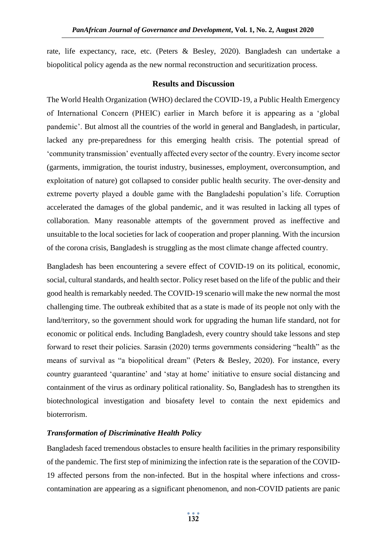rate, life expectancy, race, etc. (Peters & Besley, 2020). Bangladesh can undertake a biopolitical policy agenda as the new normal reconstruction and securitization process.

### **Results and Discussion**

The World Health Organization (WHO) declared the COVID-19, a Public Health Emergency of International Concern (PHEIC) earlier in March before it is appearing as a 'global pandemic'. But almost all the countries of the world in general and Bangladesh, in particular, lacked any pre-preparedness for this emerging health crisis. The potential spread of 'community transmission' eventually affected every sector of the country. Every income sector (garments, immigration, the tourist industry, businesses, employment, overconsumption, and exploitation of nature) got collapsed to consider public health security. The over-density and extreme poverty played a double game with the Bangladeshi population's life. Corruption accelerated the damages of the global pandemic, and it was resulted in lacking all types of collaboration. Many reasonable attempts of the government proved as ineffective and unsuitable to the local societies for lack of cooperation and proper planning. With the incursion of the corona crisis, Bangladesh is struggling as the most climate change affected country.

Bangladesh has been encountering a severe effect of COVID-19 on its political, economic, social, cultural standards, and health sector. Policy reset based on the life of the public and their good health is remarkably needed. The COVID-19 scenario will make the new normal the most challenging time. The outbreak exhibited that as a state is made of its people not only with the land/territory, so the government should work for upgrading the human life standard, not for economic or political ends. Including Bangladesh, every country should take lessons and step forward to reset their policies. Sarasin (2020) terms governments considering "health" as the means of survival as "a biopolitical dream" (Peters & Besley, 2020). For instance, every country guaranteed 'quarantine' and 'stay at home' initiative to ensure social distancing and containment of the virus as ordinary political rationality. So, Bangladesh has to strengthen its biotechnological investigation and biosafety level to contain the next epidemics and bioterrorism.

## *Transformation of Discriminative Health Policy*

Bangladesh faced tremendous obstacles to ensure health facilities in the primary responsibility of the pandemic. The first step of minimizing the infection rate is the separation of the COVID-19 affected persons from the non-infected. But in the hospital where infections and crosscontamination are appearing as a significant phenomenon, and non-COVID patients are panic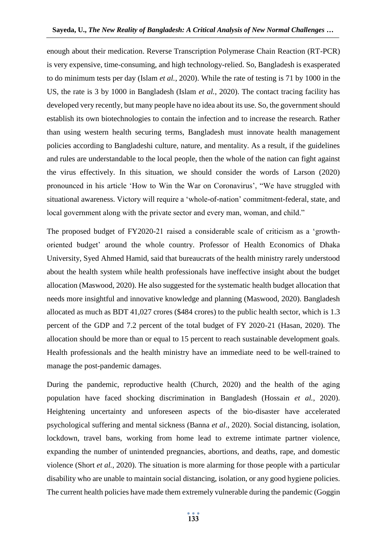enough about their medication. Reverse Transcription Polymerase Chain Reaction (RT-PCR) is very expensive, time-consuming, and high technology-relied. So, Bangladesh is exasperated to do minimum tests per day (Islam *et al.*, 2020). While the rate of testing is 71 by 1000 in the US, the rate is 3 by 1000 in Bangladesh (Islam *et al.*, 2020). The contact tracing facility has developed very recently, but many people have no idea about its use. So, the government should establish its own biotechnologies to contain the infection and to increase the research. Rather than using western health securing terms, Bangladesh must innovate health management policies according to Bangladeshi culture, nature, and mentality. As a result, if the guidelines and rules are understandable to the local people, then the whole of the nation can fight against the virus effectively. In this situation, we should consider the words of Larson (2020) pronounced in his article 'How to Win the War on Coronavirus', "We have struggled with situational awareness. Victory will require a 'whole-of-nation' commitment-federal, state, and local government along with the private sector and every man, woman, and child."

The proposed budget of FY2020-21 raised a considerable scale of criticism as a 'growthoriented budget' around the whole country. Professor of Health Economics of Dhaka University, Syed Ahmed Hamid, said that bureaucrats of the health ministry rarely understood about the health system while health professionals have ineffective insight about the budget allocation (Maswood, 2020). He also suggested for the systematic health budget allocation that needs more insightful and innovative knowledge and planning (Maswood, 2020). Bangladesh allocated as much as BDT 41,027 crores (\$484 crores) to the public health sector, which is 1.3 percent of the GDP and 7.2 percent of the total budget of FY 2020-21 (Hasan, 2020). The allocation should be more than or equal to 15 percent to reach sustainable development goals. Health professionals and the health ministry have an immediate need to be well-trained to manage the post-pandemic damages.

During the pandemic, reproductive health (Church, 2020) and the health of the aging population have faced shocking discrimination in Bangladesh (Hossain *et al.*, 2020). Heightening uncertainty and unforeseen aspects of the bio-disaster have accelerated psychological suffering and mental sickness (Banna *et al*., 2020). Social distancing, isolation, lockdown, travel bans, working from home lead to extreme intimate partner violence, expanding the number of unintended pregnancies, abortions, and deaths, rape, and domestic violence (Short *et al.*, 2020). The situation is more alarming for those people with a particular disability who are unable to maintain social distancing, isolation, or any good hygiene policies. The current health policies have made them extremely vulnerable during the pandemic (Goggin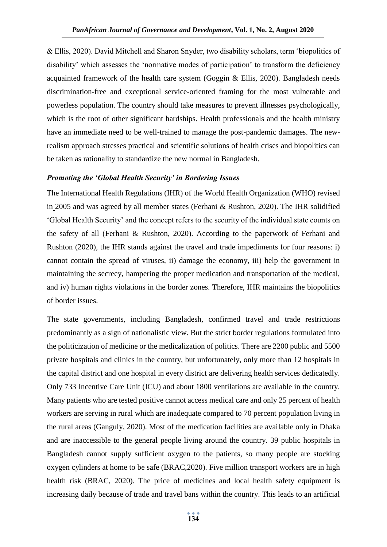& Ellis, 2020). David Mitchell and Sharon Snyder, two disability scholars, term 'biopolitics of disability' which assesses the 'normative modes of participation' to transform the deficiency acquainted framework of the health care system (Goggin & Ellis, 2020). Bangladesh needs discrimination-free and exceptional service-oriented framing for the most vulnerable and powerless population. The country should take measures to prevent illnesses psychologically, which is the root of other significant hardships. Health professionals and the health ministry have an immediate need to be well-trained to manage the post-pandemic damages. The newrealism approach stresses practical and scientific solutions of health crises and biopolitics can be taken as rationality to standardize the new normal in Bangladesh.

#### *Promoting the 'Global Health Security' in Bordering Issues*

The International Health Regulations (IHR) of the World Health Organization (WHO) revised in 2005 and was agreed by all member states (Ferhani & Rushton, 2020). The IHR solidified 'Global Health Security' and the concept refers to the security of the individual state counts on the safety of all (Ferhani & Rushton, 2020). According to the paperwork of Ferhani and Rushton (2020), the IHR stands against the travel and trade impediments for four reasons: i) cannot contain the spread of viruses, ii) damage the economy, iii) help the government in maintaining the secrecy, hampering the proper medication and transportation of the medical, and iv) human rights violations in the border zones. Therefore, IHR maintains the biopolitics of border issues.

The state governments, including Bangladesh, confirmed travel and trade restrictions predominantly as a sign of nationalistic view. But the strict border regulations formulated into the politicization of medicine or the medicalization of politics. There are 2200 public and 5500 private hospitals and clinics in the country, but unfortunately, only more than 12 hospitals in the capital district and one hospital in every district are delivering health services dedicatedly. Only 733 Incentive Care Unit (ICU) and about 1800 ventilations are available in the country. Many patients who are tested positive cannot access medical care and only 25 percent of health workers are serving in rural which are inadequate compared to 70 percent population living in the rural areas (Ganguly, 2020). Most of the medication facilities are available only in Dhaka and are inaccessible to the general people living around the country. 39 public hospitals in Bangladesh cannot supply sufficient oxygen to the patients, so many people are stocking oxygen cylinders at home to be safe (BRAC,2020). Five million transport workers are in high health risk (BRAC, 2020). The price of medicines and local health safety equipment is increasing daily because of trade and travel bans within the country. This leads to an artificial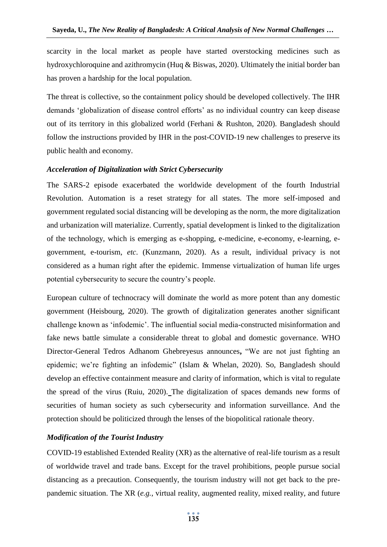scarcity in the local market as people have started overstocking medicines such as hydroxychloroquine and azithromycin (Huq & Biswas, 2020). Ultimately the initial border ban has proven a hardship for the local population.

The threat is collective, so the containment policy should be developed collectively. The IHR demands 'globalization of disease control efforts' as no individual country can keep disease out of its territory in this globalized world (Ferhani & Rushton, 2020). Bangladesh should follow the instructions provided by IHR in the post-COVID-19 new challenges to preserve its public health and economy.

#### *Acceleration of Digitalization with Strict Cybersecurity*

The SARS-2 episode exacerbated the worldwide development of the fourth Industrial Revolution. Automation is a reset strategy for all states. The more self-imposed and government regulated social distancing will be developing as the norm, the more digitalization and urbanization will materialize. Currently, spatial development is linked to the digitalization of the technology, which is emerging as e-shopping, e-medicine, e-economy, e-learning, egovernment, e-tourism, *etc*. (Kunzmann, 2020). As a result, individual privacy is not considered as a human right after the epidemic. Immense virtualization of human life urges potential cybersecurity to secure the country's people.

European culture of technocracy will dominate the world as more potent than any domestic government (Heisbourg, 2020). The growth of digitalization generates another significant challenge known as 'infodemic'. The influential social media-constructed misinformation and fake news battle simulate a considerable threat to global and domestic governance. WHO Director-General Tedros Adhanom Ghebreyesus announces**,** "We are not just fighting an epidemic; we're fighting an infodemic" (Islam & Whelan, 2020). So, Bangladesh should develop an effective containment measure and clarity of information, which is vital to regulate the spread of the virus (Ruiu, 2020). The digitalization of spaces demands new forms of securities of human society as such cybersecurity and information surveillance. And the protection should be politicized through the lenses of the biopolitical rationale theory.

### *Modification of the Tourist Industry*

COVID-19 established Extended Reality (XR) as the alternative of real-life tourism as a result of worldwide travel and trade bans. Except for the travel prohibitions, people pursue social distancing as a precaution. Consequently, the tourism industry will not get back to the prepandemic situation. The XR (*e.g.*, virtual reality, augmented reality, mixed reality, and future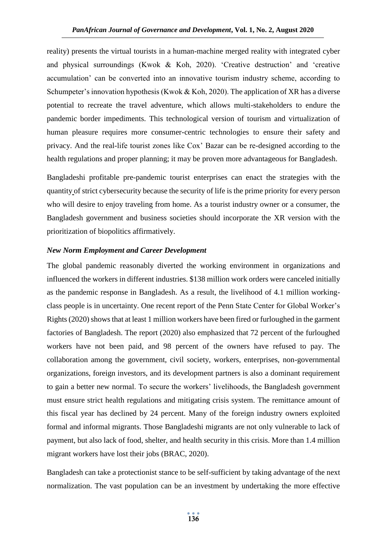reality) presents the virtual tourists in a human-machine merged reality with integrated cyber and physical surroundings (Kwok & Koh, 2020). 'Creative destruction' and 'creative accumulation' can be converted into an innovative tourism industry scheme, according to Schumpeter's innovation hypothesis (Kwok & Koh, 2020). The application of XR has a diverse potential to recreate the travel adventure, which allows multi-stakeholders to endure the pandemic border impediments. This technological version of tourism and virtualization of human pleasure requires more consumer-centric technologies to ensure their safety and privacy. And the real-life tourist zones like Cox' Bazar can be re-designed according to the health regulations and proper planning; it may be proven more advantageous for Bangladesh.

Bangladeshi profitable pre-pandemic tourist enterprises can enact the strategies with the quantity of strict cybersecurity because the security of life is the prime priority for every person who will desire to enjoy traveling from home. As a tourist industry owner or a consumer, the Bangladesh government and business societies should incorporate the XR version with the prioritization of biopolitics affirmatively.

#### *New Norm Employment and Career Development*

The global pandemic reasonably diverted the working environment in organizations and influenced the workers in different industries. \$138 million work orders were canceled initially as the pandemic response in Bangladesh. As a result, the livelihood of 4.1 million workingclass people is in uncertainty. One recent report of the Penn State Center for Global Worker's Rights (2020) shows that at least 1 million workers have been fired or furloughed in the garment factories of Bangladesh. The report (2020) also emphasized that 72 percent of the furloughed workers have not been paid, and 98 percent of the owners have refused to pay. The collaboration among the government, civil society, workers, enterprises, non-governmental organizations, foreign investors, and its development partners is also a dominant requirement to gain a better new normal. To secure the workers' livelihoods, the Bangladesh government must ensure strict health regulations and mitigating crisis system. The remittance amount of this fiscal year has declined by 24 percent. Many of the foreign industry owners exploited formal and informal migrants. Those Bangladeshi migrants are not only vulnerable to lack of payment, but also lack of food, shelter, and health security in this crisis. More than 1.4 million migrant workers have lost their jobs (BRAC, 2020).

Bangladesh can take a protectionist stance to be self-sufficient by taking advantage of the next normalization. The vast population can be an investment by undertaking the more effective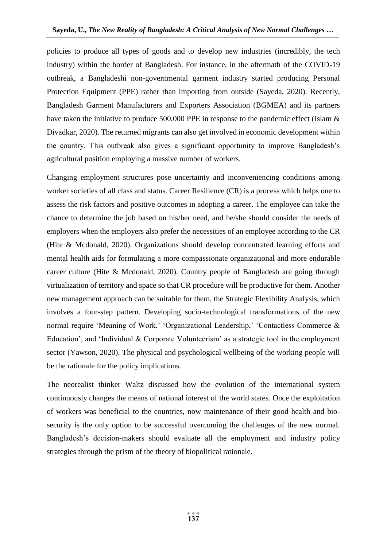policies to produce all types of goods and to develop new industries (incredibly, the tech industry) within the border of Bangladesh. For instance, in the aftermath of the COVID-19 outbreak, a Bangladeshi non-governmental garment industry started producing Personal Protection Equipment (PPE) rather than importing from outside (Sayeda, 2020). Recently, Bangladesh Garment Manufacturers and Exporters Association (BGMEA) and its partners have taken the initiative to produce 500,000 PPE in response to the pandemic effect (Islam & Divadkar, 2020). The returned migrants can also get involved in economic development within the country. This outbreak also gives a significant opportunity to improve Bangladesh's agricultural position employing a massive number of workers.

Changing employment structures pose uncertainty and inconveniencing conditions among worker societies of all class and status. Career Resilience (CR) is a process which helps one to assess the risk factors and positive outcomes in adopting a career. The employee can take the chance to determine the job based on his/her need, and he/she should consider the needs of employers when the employers also prefer the necessities of an employee according to the CR (Hite & Mcdonald, 2020). Organizations should develop concentrated learning efforts and mental health aids for formulating a more compassionate organizational and more endurable career culture (Hite & Mcdonald, 2020). Country people of Bangladesh are going through virtualization of territory and space so that CR procedure will be productive for them. Another new management approach can be suitable for them, the Strategic Flexibility Analysis, which involves a four-step pattern. Developing socio-technological transformations of the new normal require 'Meaning of Work,' 'Organizational Leadership,' 'Contactless Commerce & Education', and 'Individual & Corporate Volunteerism' as a strategic tool in the employment sector (Yawson, 2020). The physical and psychological wellbeing of the working people will be the rationale for the policy implications.

The neorealist thinker Waltz discussed how the evolution of the international system continuously changes the means of national interest of the world states. Once the exploitation of workers was beneficial to the countries, now maintenance of their good health and biosecurity is the only option to be successful overcoming the challenges of the new normal. Bangladesh's decision-makers should evaluate all the employment and industry policy strategies through the prism of the theory of biopolitical rationale.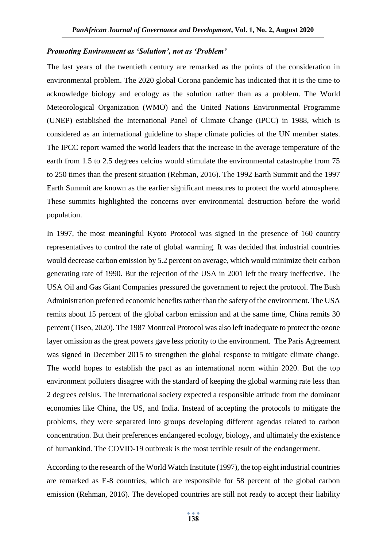#### *Promoting Environment as 'Solution', not as 'Problem'*

The last years of the twentieth century are remarked as the points of the consideration in environmental problem. The 2020 global Corona pandemic has indicated that it is the time to acknowledge biology and ecology as the solution rather than as a problem. The World Meteorological Organization (WMO) and the United Nations Environmental Programme (UNEP) established the International Panel of Climate Change (IPCC) in 1988, which is considered as an international guideline to shape climate policies of the UN member states. The IPCC report warned the world leaders that the increase in the average temperature of the earth from 1.5 to 2.5 degrees celcius would stimulate the environmental catastrophe from 75 to 250 times than the present situation (Rehman, 2016). The 1992 Earth Summit and the 1997 Earth Summit are known as the earlier significant measures to protect the world atmosphere. These summits highlighted the concerns over environmental destruction before the world population.

In 1997, the most meaningful Kyoto Protocol was signed in the presence of 160 country representatives to control the rate of global warming. It was decided that industrial countries would decrease carbon emission by 5.2 percent on average, which would minimize their carbon generating rate of 1990. But the rejection of the USA in 2001 left the treaty ineffective. The USA Oil and Gas Giant Companies pressured the government to reject the protocol. The Bush Administration preferred economic benefits rather than the safety of the environment. The USA remits about 15 percent of the global carbon emission and at the same time, China remits 30 percent (Tiseo, 2020). The 1987 Montreal Protocol was also left inadequate to protect the ozone layer omission as the great powers gave less priority to the environment. The Paris Agreement was signed in December 2015 to strengthen the global response to mitigate climate change. The world hopes to establish the pact as an international norm within 2020. But the top environment polluters disagree with the standard of keeping the global warming rate less than 2 degrees celsius. The international society expected a responsible attitude from the dominant economies like China, the US, and India. Instead of accepting the protocols to mitigate the problems, they were separated into groups developing different agendas related to carbon concentration. But their preferences endangered ecology, biology, and ultimately the existence of humankind. The COVID-19 outbreak is the most terrible result of the endangerment.

According to the research of the World Watch Institute (1997), the top eight industrial countries are remarked as E-8 countries, which are responsible for 58 percent of the global carbon emission (Rehman, 2016). The developed countries are still not ready to accept their liability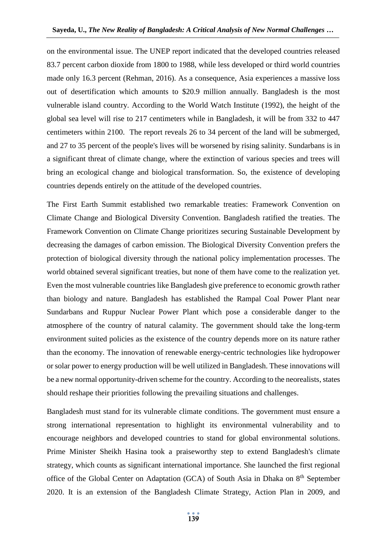on the environmental issue. The UNEP report indicated that the developed countries released 83.7 percent carbon dioxide from 1800 to 1988, while less developed or third world countries made only 16.3 percent (Rehman, 2016). As a consequence, Asia experiences a massive loss out of desertification which amounts to \$20.9 million annually. Bangladesh is the most vulnerable island country. According to the World Watch Institute (1992), the height of the global sea level will rise to 217 centimeters while in Bangladesh, it will be from 332 to 447 centimeters within 2100. The report reveals 26 to 34 percent of the land will be submerged, and 27 to 35 percent of the people's lives will be worsened by rising salinity. Sundarbans is in a significant threat of climate change, where the extinction of various species and trees will bring an ecological change and biological transformation. So, the existence of developing countries depends entirely on the attitude of the developed countries.

The First Earth Summit established two remarkable treaties: Framework Convention on Climate Change and Biological Diversity Convention. Bangladesh ratified the treaties. The Framework Convention on Climate Change prioritizes securing Sustainable Development by decreasing the damages of carbon emission. The Biological Diversity Convention prefers the protection of biological diversity through the national policy implementation processes. The world obtained several significant treaties, but none of them have come to the realization yet. Even the most vulnerable countries like Bangladesh give preference to economic growth rather than biology and nature. Bangladesh has established the Rampal Coal Power Plant near Sundarbans and Ruppur Nuclear Power Plant which pose a considerable danger to the atmosphere of the country of natural calamity. The government should take the long-term environment suited policies as the existence of the country depends more on its nature rather than the economy. The innovation of renewable energy-centric technologies like hydropower or solar power to energy production will be well utilized in Bangladesh. These innovations will be a new normal opportunity-driven scheme for the country. According to the neorealists, states should reshape their priorities following the prevailing situations and challenges.

Bangladesh must stand for its vulnerable climate conditions. The government must ensure a strong international representation to highlight its environmental vulnerability and to encourage neighbors and developed countries to stand for global environmental solutions. Prime Minister Sheikh Hasina took a praiseworthy step to extend Bangladesh's climate strategy, which counts as significant international importance. She launched the first regional office of the Global Center on Adaptation (GCA) of South Asia in Dhaka on 8<sup>th</sup> September 2020. It is an extension of the Bangladesh Climate Strategy, Action Plan in 2009, and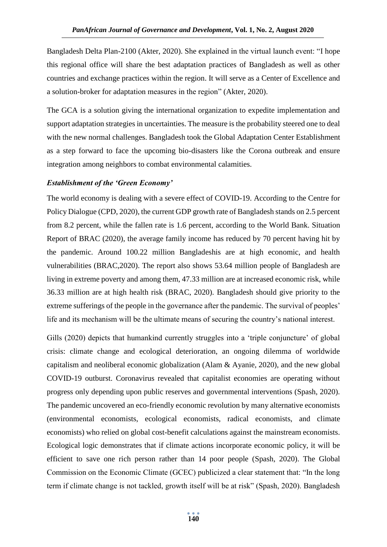Bangladesh Delta Plan-2100 (Akter, 2020). She explained in the virtual launch event: "I hope this regional office will share the best adaptation practices of Bangladesh as well as other countries and exchange practices within the region. It will serve as a Center of Excellence and a solution-broker for adaptation measures in the region" (Akter, 2020).

The GCA is a solution giving the international organization to expedite implementation and support adaptation strategies in uncertainties. The measure is the probability steered one to deal with the new normal challenges. Bangladesh took the Global Adaptation Center Establishment as a step forward to face the upcoming bio-disasters like the Corona outbreak and ensure integration among neighbors to combat environmental calamities.

# *Establishment of the 'Green Economy'*

The world economy is dealing with a severe effect of COVID-19. According to the Centre for Policy Dialogue (CPD, 2020), the current GDP growth rate of Bangladesh stands on 2.5 percent from 8.2 percent, while the fallen rate is 1.6 percent, according to the World Bank. Situation Report of BRAC (2020), the average family income has reduced by 70 percent having hit by the pandemic. Around 100.22 million Bangladeshis are at high economic, and health vulnerabilities (BRAC,2020). The report also shows 53.64 million people of Bangladesh are living in extreme poverty and among them, 47.33 million are at increased economic risk, while 36.33 million are at high health risk (BRAC, 2020). Bangladesh should give priority to the extreme sufferings of the people in the governance after the pandemic. The survival of peoples' life and its mechanism will be the ultimate means of securing the country's national interest.

Gills (2020) depicts that humankind currently struggles into a 'triple conjuncture' of global crisis: climate change and ecological deterioration, an ongoing dilemma of worldwide capitalism and neoliberal economic globalization (Alam & Ayanie, 2020), and the new global COVID-19 outburst. Coronavirus revealed that capitalist economies are operating without progress only depending upon public reserves and governmental interventions (Spash, 2020). The pandemic uncovered an eco-friendly economic revolution by many alternative economists (environmental economists, ecological economists, radical economists, and climate economists) who relied on global cost-benefit calculations against the mainstream economists. Ecological logic demonstrates that if climate actions incorporate economic policy, it will be efficient to save one rich person rather than 14 poor people (Spash, 2020). The Global Commission on the Economic Climate (GCEC) publicized a clear statement that: "In the long term if climate change is not tackled, growth itself will be at risk" (Spash, 2020). Bangladesh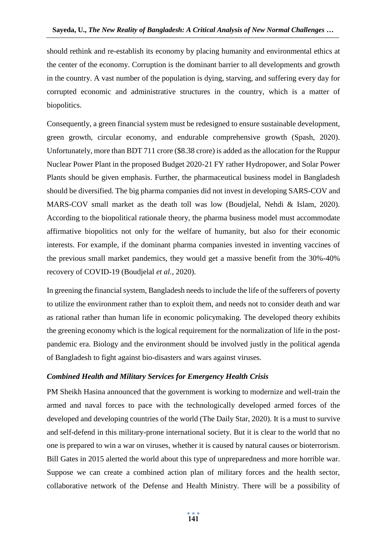should rethink and re-establish its economy by placing humanity and environmental ethics at the center of the economy. Corruption is the dominant barrier to all developments and growth in the country. A vast number of the population is dying, starving, and suffering every day for corrupted economic and administrative structures in the country, which is a matter of biopolitics.

Consequently, a green financial system must be redesigned to ensure sustainable development, green growth, circular economy, and endurable comprehensive growth (Spash, 2020). Unfortunately, more than BDT 711 crore (\$8.38 crore) is added as the allocation for the Ruppur Nuclear Power Plant in the proposed Budget 2020-21 FY rather Hydropower, and Solar Power Plants should be given emphasis. Further, the pharmaceutical business model in Bangladesh should be diversified. The big pharma companies did not invest in developing SARS-COV and MARS-COV small market as the death toll was low (Boudjelal, Nehdi & Islam, 2020). According to the biopolitical rationale theory, the pharma business model must accommodate affirmative biopolitics not only for the welfare of humanity, but also for their economic interests. For example, if the dominant pharma companies invested in inventing vaccines of the previous small market pandemics, they would get a massive benefit from the 30%-40% recovery of COVID-19 (Boudjelal *et al.*, 2020).

In greening the financial system, Bangladesh needs to include the life of the sufferers of poverty to utilize the environment rather than to exploit them, and needs not to consider death and war as rational rather than human life in economic policymaking. The developed theory exhibits the greening economy which is the logical requirement for the normalization of life in the postpandemic era. Biology and the environment should be involved justly in the political agenda of Bangladesh to fight against bio-disasters and wars against viruses.

## *Combined Health and Military Services for Emergency Health Crisis*

PM Sheikh Hasina announced that the government is working to modernize and well-train the armed and naval forces to pace with the technologically developed armed forces of the developed and developing countries of the world (The Daily Star, 2020). It is a must to survive and self-defend in this military-prone international society. But it is clear to the world that no one is prepared to win a war on viruses, whether it is caused by natural causes or bioterrorism. Bill Gates in 2015 alerted the world about this type of unpreparedness and more horrible war. Suppose we can create a combined action plan of military forces and the health sector, collaborative network of the Defense and Health Ministry. There will be a possibility of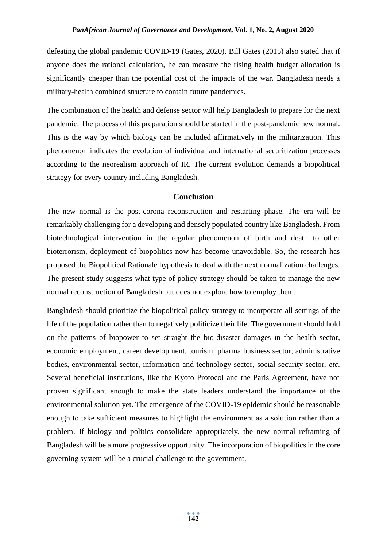defeating the global pandemic COVID-19 (Gates, 2020). Bill Gates (2015) also stated that if anyone does the rational calculation, he can measure the rising health budget allocation is significantly cheaper than the potential cost of the impacts of the war. Bangladesh needs a military-health combined structure to contain future pandemics.

The combination of the health and defense sector will help Bangladesh to prepare for the next pandemic. The process of this preparation should be started in the post-pandemic new normal. This is the way by which biology can be included affirmatively in the militarization. This phenomenon indicates the evolution of individual and international securitization processes according to the neorealism approach of IR. The current evolution demands a biopolitical strategy for every country including Bangladesh.

## **Conclusion**

The new normal is the post-corona reconstruction and restarting phase. The era will be remarkably challenging for a developing and densely populated country like Bangladesh. From biotechnological intervention in the regular phenomenon of birth and death to other bioterrorism, deployment of biopolitics now has become unavoidable. So, the research has proposed the Biopolitical Rationale hypothesis to deal with the next normalization challenges. The present study suggests what type of policy strategy should be taken to manage the new normal reconstruction of Bangladesh but does not explore how to employ them.

Bangladesh should prioritize the biopolitical policy strategy to incorporate all settings of the life of the population rather than to negatively politicize their life. The government should hold on the patterns of biopower to set straight the bio-disaster damages in the health sector, economic employment, career development, tourism, pharma business sector, administrative bodies, environmental sector, information and technology sector, social security sector, *etc*. Several beneficial institutions, like the Kyoto Protocol and the Paris Agreement, have not proven significant enough to make the state leaders understand the importance of the environmental solution yet. The emergence of the COVID-19 epidemic should be reasonable enough to take sufficient measures to highlight the environment as a solution rather than a problem. If biology and politics consolidate appropriately, the new normal reframing of Bangladesh will be a more progressive opportunity. The incorporation of biopolitics in the core governing system will be a crucial challenge to the government.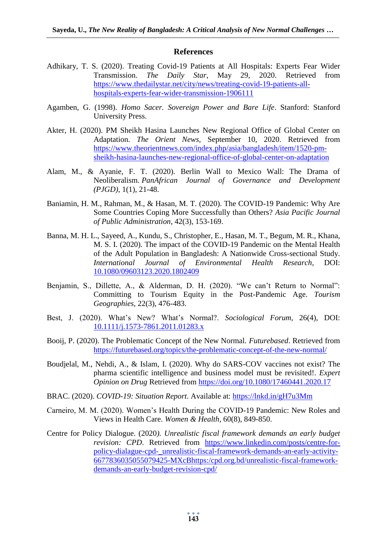#### **References**

- Adhikary, T. S. (2020). Treating Covid-19 Patients at All Hospitals: Experts Fear Wider Transmission. *The Daily Star*, May 29, 2020. Retrieved from [https://www.thedailystar.net/city/news/treating-covid-19-patients-all](https://www.thedailystar.net/city/news/treating-covid-19-patients-all-hospitals-experts-fear-wider-transmission-1906111)[hospitals-experts-fear-wider-transmission-1906111](https://www.thedailystar.net/city/news/treating-covid-19-patients-all-hospitals-experts-fear-wider-transmission-1906111)
- Agamben, G. (1998). *Homo Sacer. Sovereign Power and Bare Life*. Stanford: Stanford University Press.
- Akter, H. (2020). PM Sheikh Hasina Launches New Regional Office of Global Center on Adaptation. *The Orient News*, September 10, 2020. Retrieved from [https://www.theorientnews.com/index.php/asia/bangladesh/item/1520-pm](https://www.theorientnews.com/index.php/asia/bangladesh/item/1520-pm-sheikh-hasina-launches-new-regional-office-of-global-center-on-adaptation)[sheikh-hasina-launches-new-regional-office-of-global-center-on-adaptation](https://www.theorientnews.com/index.php/asia/bangladesh/item/1520-pm-sheikh-hasina-launches-new-regional-office-of-global-center-on-adaptation)
- Alam, M., & Ayanie, F. T. (2020). Berlin Wall to Mexico Wall: The Drama of Neoliberalism. *PanAfrican Journal of Governance and Development (PJGD)*, 1(1), 21-48.
- Baniamin, H. M., Rahman, M., & Hasan, M. T. (2020). The COVID-19 Pandemic: Why Are Some Countries Coping More Successfully than Others? *Asia Pacific Journal of Public Administration*, 42(3), 153-169.
- Banna, M. H. L., Sayeed, A., Kundu, S., Christopher, E., Hasan, M. T., Begum, M. R., Khana, M. S. I. (2020). The impact of the COVID-19 Pandemic on the Mental Health of the Adult Population in Bangladesh: A Nationwide Cross-sectional Study. *International Journal of Environmental Health Research*, DOI: [10.1080/09603123.2020.1802409](https://doi.org/10.1080/09603123.2020.1802409)
- Benjamin, S., Dillette, A., & Alderman, D. H. (2020). "We can't Return to Normal": Committing to Tourism Equity in the Post-Pandemic Age. *Tourism Geographies*, 22(3), 476-483.
- Best, J. (2020). What's New? What's Normal?. *Sociological Forum*, 26(4), DOI: [10.1111/j.1573-7861.2011.01283.x](https://doi.org/10.1111/j.1573-7861.2011.01283.x)
- Booij, P. (2020). The Problematic Concept of the New Normal*. Futurebased*. Retrieved from <https://futurebased.org/topics/the-problematic-concept-of-the-new-normal/>
- Boudjelal, M., Nehdi, A., & Islam, I. (2020). Why do SARS-COV vaccines not exist? The pharma scientific intelligence and business model must be revisited!. *Expert Opinion on Drug* Retrieved from<https://doi.org/10.1080/17460441.2020.17>
- BRAC. (2020). *COVID-19: Situation Report*. Available at:<https://lnkd.in/gH7u3Mm>
- Carneiro, M. M. (2020). Women's Health During the COVID-19 Pandemic: New Roles and Views in Health Care. *Women & Health*, 60(8), 849-850.
- Centre for Policy Dialogue. (2020*). Unrealistic fiscal framework demands an early budget revision: CPD*. Retrieved from [https://www.linkedin.com/posts/centre-for](https://www.linkedin.com/posts/centre-for-policy-dialague-cpd-_unrealistic-fiscal-framework-demands-an-early-activity-6677836035055079425-MXcBhttps:/cpd.org.bd/unrealistic-fiscal-framework-demands-an-early-budget-revision-cpd/)[policy-dialague-cpd-\\_unrealistic-fiscal-framework-demands-an-early-activity-](https://www.linkedin.com/posts/centre-for-policy-dialague-cpd-_unrealistic-fiscal-framework-demands-an-early-activity-6677836035055079425-MXcBhttps:/cpd.org.bd/unrealistic-fiscal-framework-demands-an-early-budget-revision-cpd/)[6677836035055079425-MXcBhttps:/cpd.org.bd/unrealistic-fiscal-framework](https://www.linkedin.com/posts/centre-for-policy-dialague-cpd-_unrealistic-fiscal-framework-demands-an-early-activity-6677836035055079425-MXcBhttps:/cpd.org.bd/unrealistic-fiscal-framework-demands-an-early-budget-revision-cpd/)[demands-an-early-budget-revision-cpd/](https://www.linkedin.com/posts/centre-for-policy-dialague-cpd-_unrealistic-fiscal-framework-demands-an-early-activity-6677836035055079425-MXcBhttps:/cpd.org.bd/unrealistic-fiscal-framework-demands-an-early-budget-revision-cpd/)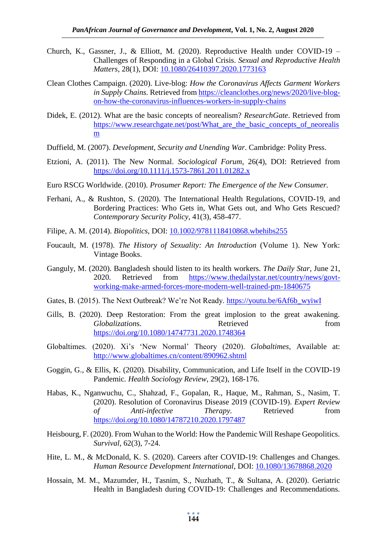- Church, K., Gassner, J., & Elliott, M. (2020). Reproductive Health under COVID-19 Challenges of Responding in a Global Crisis. *Sexual and Reproductive Health Matters*, 28(1), DOI: [10.1080/26410397.2020.1773163](https://doi.org/10.1080/26410397.2020.1773163)
- Clean Clothes Campaign. (2020). Live-blog: *How the Coronavirus Affects Garment Workers in Supply Chains.* Retrieved fro[m https://cleanclothes.org/news/2020/live-blog](https://cleanclothes.org/news/2020/live-blog-on-how-the-coronavirus-influences-workers-in-supply-chains)[on-how-the-coronavirus-influences-workers-in-supply-chains](https://cleanclothes.org/news/2020/live-blog-on-how-the-coronavirus-influences-workers-in-supply-chains)
- Didek, E. (2012). What are the basic concepts of neorealism? *ResearchGate*. Retrieved from https://www.researchgate.net/post/What are the basic concepts of neorealis [m](https://www.researchgate.net/post/What_are_the_basic_concepts_of_neorealism)
- Duffield, M. (2007). *Development, Security and Unending War*. Cambridge: Polity Press.
- Etzioni, A. (2011). The New Normal. *Sociological Forum*, 26(4), DOI: Retrieved from <https://doi.org/10.1111/j.1573-7861.2011.01282.x>
- Euro RSCG Worldwide. (2010). *Prosumer Report: The Emergence of the New Consumer.*
- Ferhani, A., & Rushton, S. (2020). The International Health Regulations, COVID-19, and Bordering Practices: Who Gets in, What Gets out, and Who Gets Rescued? *Contemporary Security Policy*, 41(3), 458-477.
- Filipe, A. M. (2014). *Biopolitics*, DOI: [10.1002/9781118410868.wbehibs255](https://doi.org/10.1002/9781118410868.wbehibs255)
- Foucault, M. (1978). *The History of Sexuality: An Introduction* (Volume 1). New York: Vintage Books.
- Ganguly, M. (2020). Bangladesh should listen to its health workers*. The Daily Star*, June 21, 2020*.* Retrieved from [https://www.thedailystar.net/country/news/govt](https://www.thedailystar.net/country/news/govt-working-make-armed-forces-more-modern-well-trained-pm-1840675)[working-make-armed-forces-more-modern-well-trained-pm-1840675](https://www.thedailystar.net/country/news/govt-working-make-armed-forces-more-modern-well-trained-pm-1840675)
- Gates, B. (2015). The Next Outbreak? We're Not Ready. [https://youtu.be/6Af6b\\_wyiwI](https://youtu.be/6Af6b_wyiwI)
- Gills, B. (2020). Deep Restoration: From the great implosion to the great awakening. *Globalizations*. Retrieved from <https://doi.org/10.1080/14747731.2020.1748364>
- Globaltimes. (2020). Xi's 'New Normal' Theory (2020). *Globaltimes*, Available at: <http://www.globaltimes.cn/content/890962.shtml>
- Goggin, G., & Ellis, K. (2020). Disability, Communication, and Life Itself in the COVID-19 Pandemic*. Health Sociology Review*, 29(2), 168-176.
- Habas, K., Nganwuchu, C., Shahzad, F., Gopalan, R., Haque, M., Rahman, S., Nasim, T. (2020). Resolution of Coronavirus Disease 2019 (COVID-19). *Expert Review of Anti-infective Therapy.* Retrieved from <https://doi.org/10.1080/14787210.2020.1797487>
- Heisbourg, F. (2020). From Wuhan to the World: How the Pandemic Will Reshape Geopolitics. *Survival*, 62(3), 7-24.
- Hite, L. M., & McDonald, K. S. (2020). Careers after COVID-19: Challenges and Changes. *Human Resource Development International*, DOI: [10.1080/13678868.2020](https://doi.org/10.1080/13678868.2020)
- Hossain, M. M., Mazumder, H., Tasnim, S., Nuzhath, T., & Sultana, A. (2020). Geriatric Health in Bangladesh during COVID-19: Challenges and Recommendations.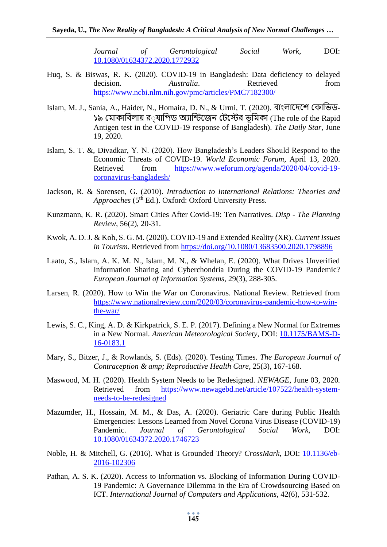*Journal of Gerontological Social Work*, DOI: [10.1080/01634372.2020.1772932](https://doi.org/10.1080/01634372.2020.1772932) 

- Huq, S. & Biswas, R. K. (2020). COVID-19 in Bangladesh: Data deficiency to delayed decision. *Australia*. Retrieved from <https://www.ncbi.nlm.nih.gov/pmc/articles/PMC7182300/>
- Islam, M. J., Sania, A., Haider, N., Homaira, D. N., & Urmi, T. (2020). বাংলাদেশে কোভিড-১৯ মোকাবিলায় র $\,$ যাপিড অ্যান্টিজেন টেস্টের ভর্মিকা (The role of the Rapid Antigen test in the COVID-19 response of Bangladesh). *The Daily Star*, June 19, 2020.
- Islam, S. T. &, Divadkar, Y. N. (2020). How Bangladesh's Leaders Should Respond to the Economic Threats of COVID-19. *World Economic Forum*, April 13, 2020. Retrieved from [https://www.weforum.org/agenda/2020/04/covid-19](https://www.weforum.org/agenda/2020/04/covid-19-coronavirus-bangladesh/) [coronavirus-bangladesh/](https://www.weforum.org/agenda/2020/04/covid-19-coronavirus-bangladesh/)
- Jackson, R. & Sorensen, G. (2010). *Introduction to International Relations: Theories and* Approaches (5<sup>th</sup> Ed.). Oxford: Oxford University Press.
- Kunzmann, K. R. (2020). Smart Cities After Covid-19: Ten Narratives. *Disp - The Planning Review*, 56(2), 20-31.
- Kwok, A. D. J. & Koh, S. G. M. (2020). COVID-19 and Extended Reality (XR). *Current Issues in Tourism*. Retrieved from<https://doi.org/10.1080/13683500.2020.1798896>
- Laato, S., Islam, A. K. M. N., Islam, M. N., & Whelan, E. (2020). What Drives Unverified Information Sharing and Cyberchondria During the COVID-19 Pandemic? *European Journal of Information Systems*, 29(3), 288-305.
- Larsen, R. (2020). How to Win the War on Coronavirus. National Review. Retrieved from [https://www.nationalreview.com/2020/03/coronavirus-pandemic-how-to-win](https://www.nationalreview.com/2020/03/coronavirus-pandemic-how-to-win-the-war/)[the-war/](https://www.nationalreview.com/2020/03/coronavirus-pandemic-how-to-win-the-war/)
- Lewis, S. C., King, A. D. & Kirkpatrick, S. E. P. (2017). Defining a New Normal for Extremes in a New Normal. *American Meteorological Society*, DOI: [10.1175/BAMS-D-](https://doi.org/10.1175/BAMS-D-16-0183.1)[16-0183.1](https://doi.org/10.1175/BAMS-D-16-0183.1)
- Mary, S., Bitzer, J., & Rowlands, S. (Eds). (2020). Testing Times. *The European Journal of Contraception & amp; Reproductive Health Care*, 25(3), 167-168.
- Maswood, M. H. (2020). Health System Needs to be Redesigned. *NEWAGE*, June 03, 2020*.* Retrieved from [https://www.newagebd.net/article/107522/health-system](https://www.newagebd.net/article/107522/health-system-needs-to-be-redesigned)[needs-to-be-redesigned](https://www.newagebd.net/article/107522/health-system-needs-to-be-redesigned)
- Mazumder, H., Hossain, M. M., & Das, A. (2020). Geriatric Care during Public Health Emergencies: Lessons Learned from Novel Corona Virus Disease (COVID-19) Pandemic. *Journal of Gerontological Social Work*, DOI: [10.1080/01634372.2020.1746723](https://doi.org/10.1080/01634372.2020.1746723)
- Noble, H. & Mitchell, G. (2016). What is Grounded Theory? *CrossMark*, DOI: [10.1136/eb-](https://doi.org/10.1136/eb-2016-102306)[2016-102306](https://doi.org/10.1136/eb-2016-102306)
- Pathan, A. S. K. (2020). Access to Information vs. Blocking of Information During COVID-19 Pandemic: A Governance Dilemma in the Era of Crowdsourcing Based on ICT. *International Journal of Computers and Applications*, 42(6), 531-532.